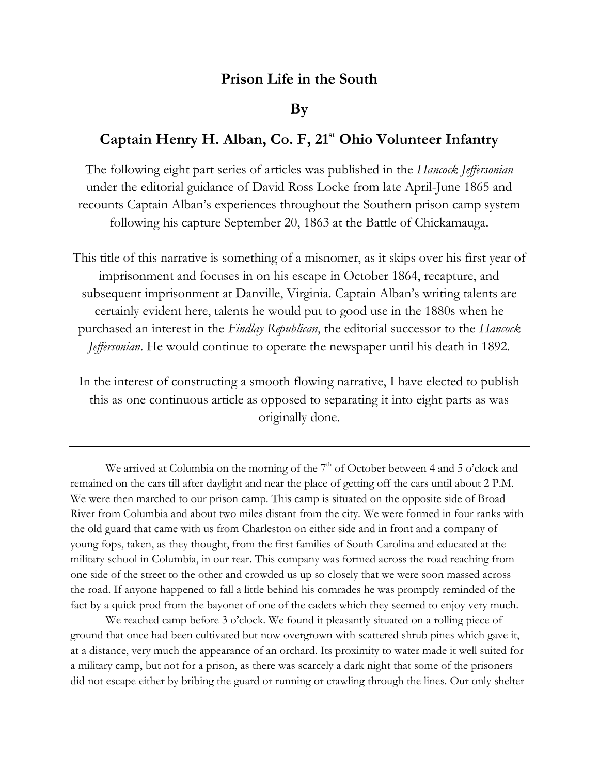## **Prison Life in the South**

## **By**

## **Captain Henry H. Alban, Co. F, 21st Ohio Volunteer Infantry**

The following eight part series of articles was published in the *Hancock Jeffersonian* under the editorial guidance of David Ross Locke from late April-June 1865 and recounts Captain Alban's experiences throughout the Southern prison camp system following his capture September 20, 1863 at the Battle of Chickamauga.

This title of this narrative is something of a misnomer, as it skips over his first year of imprisonment and focuses in on his escape in October 1864, recapture, and subsequent imprisonment at Danville, Virginia. Captain Alban's writing talents are certainly evident here, talents he would put to good use in the 1880s when he purchased an interest in the *Findlay Republican*, the editorial successor to the *Hancock Jeffersonian*. He would continue to operate the newspaper until his death in 1892.

In the interest of constructing a smooth flowing narrative, I have elected to publish this as one continuous article as opposed to separating it into eight parts as was originally done.

We arrived at Columbia on the morning of the  $7<sup>th</sup>$  of October between 4 and 5 o'clock and remained on the cars till after daylight and near the place of getting off the cars until about 2 P.M. We were then marched to our prison camp. This camp is situated on the opposite side of Broad River from Columbia and about two miles distant from the city. We were formed in four ranks with the old guard that came with us from Charleston on either side and in front and a company of young fops, taken, as they thought, from the first families of South Carolina and educated at the military school in Columbia, in our rear. This company was formed across the road reaching from one side of the street to the other and crowded us up so closely that we were soon massed across the road. If anyone happened to fall a little behind his comrades he was promptly reminded of the fact by a quick prod from the bayonet of one of the cadets which they seemed to enjoy very much.

We reached camp before 3 o'clock. We found it pleasantly situated on a rolling piece of ground that once had been cultivated but now overgrown with scattered shrub pines which gave it, at a distance, very much the appearance of an orchard. Its proximity to water made it well suited for a military camp, but not for a prison, as there was scarcely a dark night that some of the prisoners did not escape either by bribing the guard or running or crawling through the lines. Our only shelter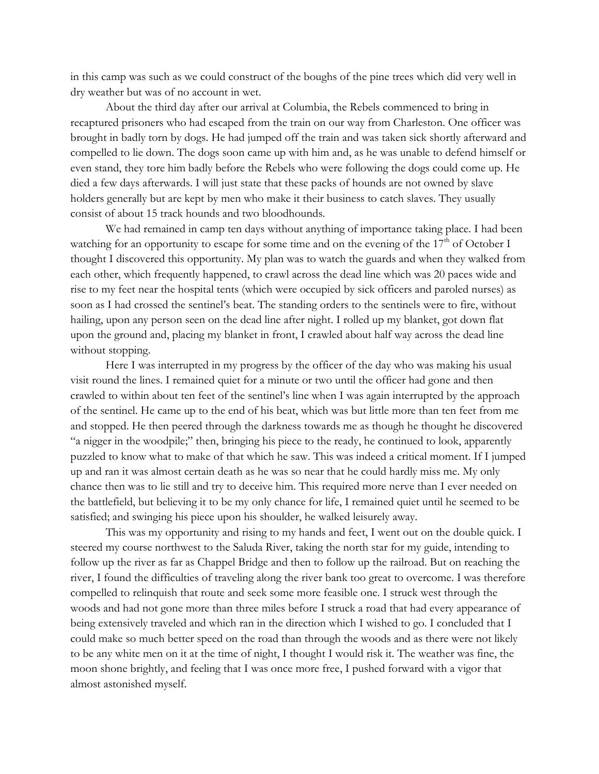in this camp was such as we could construct of the boughs of the pine trees which did very well in dry weather but was of no account in wet.

About the third day after our arrival at Columbia, the Rebels commenced to bring in recaptured prisoners who had escaped from the train on our way from Charleston. One officer was brought in badly torn by dogs. He had jumped off the train and was taken sick shortly afterward and compelled to lie down. The dogs soon came up with him and, as he was unable to defend himself or even stand, they tore him badly before the Rebels who were following the dogs could come up. He died a few days afterwards. I will just state that these packs of hounds are not owned by slave holders generally but are kept by men who make it their business to catch slaves. They usually consist of about 15 track hounds and two bloodhounds.

We had remained in camp ten days without anything of importance taking place. I had been watching for an opportunity to escape for some time and on the evening of the  $17<sup>th</sup>$  of October I thought I discovered this opportunity. My plan was to watch the guards and when they walked from each other, which frequently happened, to crawl across the dead line which was 20 paces wide and rise to my feet near the hospital tents (which were occupied by sick officers and paroled nurses) as soon as I had crossed the sentinel's beat. The standing orders to the sentinels were to fire, without hailing, upon any person seen on the dead line after night. I rolled up my blanket, got down flat upon the ground and, placing my blanket in front, I crawled about half way across the dead line without stopping.

Here I was interrupted in my progress by the officer of the day who was making his usual visit round the lines. I remained quiet for a minute or two until the officer had gone and then crawled to within about ten feet of the sentinel's line when I was again interrupted by the approach of the sentinel. He came up to the end of his beat, which was but little more than ten feet from me and stopped. He then peered through the darkness towards me as though he thought he discovered "a nigger in the woodpile;" then, bringing his piece to the ready, he continued to look, apparently puzzled to know what to make of that which he saw. This was indeed a critical moment. If I jumped up and ran it was almost certain death as he was so near that he could hardly miss me. My only chance then was to lie still and try to deceive him. This required more nerve than I ever needed on the battlefield, but believing it to be my only chance for life, I remained quiet until he seemed to be satisfied; and swinging his piece upon his shoulder, he walked leisurely away.

This was my opportunity and rising to my hands and feet, I went out on the double quick. I steered my course northwest to the Saluda River, taking the north star for my guide, intending to follow up the river as far as Chappel Bridge and then to follow up the railroad. But on reaching the river, I found the difficulties of traveling along the river bank too great to overcome. I was therefore compelled to relinquish that route and seek some more feasible one. I struck west through the woods and had not gone more than three miles before I struck a road that had every appearance of being extensively traveled and which ran in the direction which I wished to go. I concluded that I could make so much better speed on the road than through the woods and as there were not likely to be any white men on it at the time of night, I thought I would risk it. The weather was fine, the moon shone brightly, and feeling that I was once more free, I pushed forward with a vigor that almost astonished myself.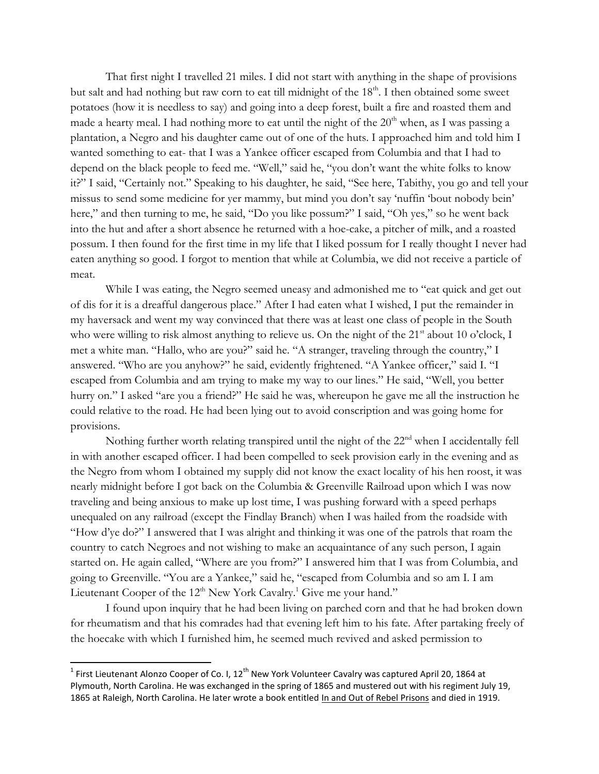That first night I travelled 21 miles. I did not start with anything in the shape of provisions but salt and had nothing but raw corn to eat till midnight of the 18<sup>th</sup>. I then obtained some sweet potatoes (how it is needless to say) and going into a deep forest, built a fire and roasted them and made a hearty meal. I had nothing more to eat until the night of the  $20<sup>th</sup>$  when, as I was passing a plantation, a Negro and his daughter came out of one of the huts. I approached him and told him I wanted something to eat- that I was a Yankee officer escaped from Columbia and that I had to depend on the black people to feed me. "Well," said he, "you don't want the white folks to know it?" I said, "Certainly not." Speaking to his daughter, he said, "See here, Tabithy, you go and tell your missus to send some medicine for yer mammy, but mind you don't say 'nuffin 'bout nobody bein' here," and then turning to me, he said, "Do you like possum?" I said, "Oh yes," so he went back into the hut and after a short absence he returned with a hoe-cake, a pitcher of milk, and a roasted possum. I then found for the first time in my life that I liked possum for I really thought I never had eaten anything so good. I forgot to mention that while at Columbia, we did not receive a particle of meat.

While I was eating, the Negro seemed uneasy and admonished me to "eat quick and get out of dis for it is a dreafful dangerous place." After I had eaten what I wished, I put the remainder in my haversack and went my way convinced that there was at least one class of people in the South who were willing to risk almost anything to relieve us. On the night of the  $21<sup>st</sup>$  about 10 o'clock, I met a white man. "Hallo, who are you?" said he. "A stranger, traveling through the country," I answered. "Who are you anyhow?" he said, evidently frightened. "A Yankee officer," said I. "I escaped from Columbia and am trying to make my way to our lines." He said, "Well, you better hurry on." I asked "are you a friend?" He said he was, whereupon he gave me all the instruction he could relative to the road. He had been lying out to avoid conscription and was going home for provisions.

Nothing further worth relating transpired until the night of the 22<sup>nd</sup> when I accidentally fell in with another escaped officer. I had been compelled to seek provision early in the evening and as the Negro from whom I obtained my supply did not know the exact locality of his hen roost, it was nearly midnight before I got back on the Columbia & Greenville Railroad upon which I was now traveling and being anxious to make up lost time, I was pushing forward with a speed perhaps unequaled on any railroad (except the Findlay Branch) when I was hailed from the roadside with "How d'ye do?" I answered that I was alright and thinking it was one of the patrols that roam the country to catch Negroes and not wishing to make an acquaintance of any such person, I again started on. He again called, "Where are you from?" I answered him that I was from Columbia, and going to Greenville. "You are a Yankee," said he, "escaped from Columbia and so am I. I am Lieutenant Cooper of the 12<sup>th</sup> New York Cavalry.<sup>1</sup> Give me your hand."

I found upon inquiry that he had been living on parched corn and that he had broken down for rheumatism and that his comrades had that evening left him to his fate. After partaking freely of the hoecake with which I furnished him, he seemed much revived and asked permission to

<sup>1&</sup>lt;br><sup>1</sup> First Lieutenant Alonzo Cooper of Co. I, 12<sup>th</sup> New York Volunteer Cavalry was captured April 20, 1864 at Plymouth, North Carolina. He was exchanged in the spring of 1865 and mustered out with his regiment July 19, 1865 at Raleigh, North Carolina. He later wrote a book entitled In and Out of Rebel Prisons and died in 1919.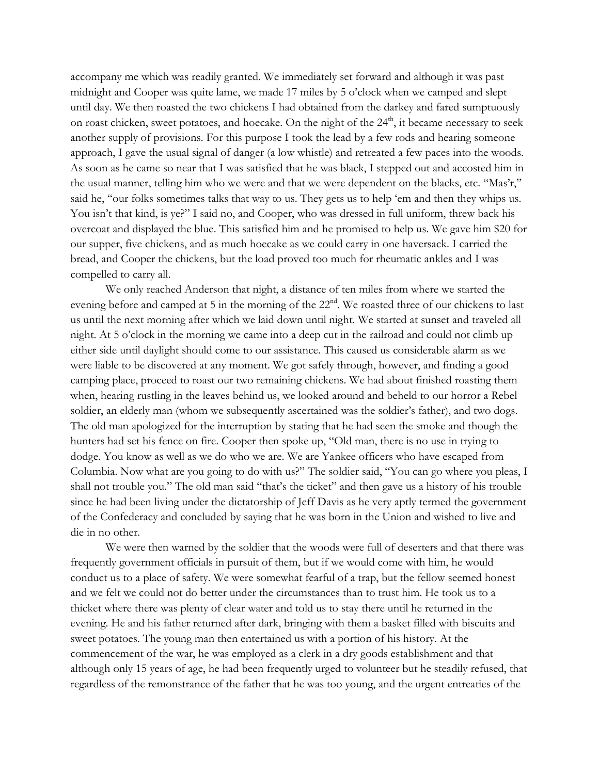accompany me which was readily granted. We immediately set forward and although it was past midnight and Cooper was quite lame, we made 17 miles by 5 o'clock when we camped and slept until day. We then roasted the two chickens I had obtained from the darkey and fared sumptuously on roast chicken, sweet potatoes, and hoecake. On the night of the 24<sup>th</sup>, it became necessary to seek another supply of provisions. For this purpose I took the lead by a few rods and hearing someone approach, I gave the usual signal of danger (a low whistle) and retreated a few paces into the woods. As soon as he came so near that I was satisfied that he was black, I stepped out and accosted him in the usual manner, telling him who we were and that we were dependent on the blacks, etc. "Mas'r," said he, "our folks sometimes talks that way to us. They gets us to help 'em and then they whips us. You isn't that kind, is ye?" I said no, and Cooper, who was dressed in full uniform, threw back his overcoat and displayed the blue. This satisfied him and he promised to help us. We gave him \$20 for our supper, five chickens, and as much hoecake as we could carry in one haversack. I carried the bread, and Cooper the chickens, but the load proved too much for rheumatic ankles and I was compelled to carry all.

We only reached Anderson that night, a distance of ten miles from where we started the evening before and camped at 5 in the morning of the 22<sup>nd</sup>. We roasted three of our chickens to last us until the next morning after which we laid down until night. We started at sunset and traveled all night. At 5 o'clock in the morning we came into a deep cut in the railroad and could not climb up either side until daylight should come to our assistance. This caused us considerable alarm as we were liable to be discovered at any moment. We got safely through, however, and finding a good camping place, proceed to roast our two remaining chickens. We had about finished roasting them when, hearing rustling in the leaves behind us, we looked around and beheld to our horror a Rebel soldier, an elderly man (whom we subsequently ascertained was the soldier's father), and two dogs. The old man apologized for the interruption by stating that he had seen the smoke and though the hunters had set his fence on fire. Cooper then spoke up, "Old man, there is no use in trying to dodge. You know as well as we do who we are. We are Yankee officers who have escaped from Columbia. Now what are you going to do with us?" The soldier said, "You can go where you pleas, I shall not trouble you." The old man said "that's the ticket" and then gave us a history of his trouble since he had been living under the dictatorship of Jeff Davis as he very aptly termed the government of the Confederacy and concluded by saying that he was born in the Union and wished to live and die in no other.

We were then warned by the soldier that the woods were full of deserters and that there was frequently government officials in pursuit of them, but if we would come with him, he would conduct us to a place of safety. We were somewhat fearful of a trap, but the fellow seemed honest and we felt we could not do better under the circumstances than to trust him. He took us to a thicket where there was plenty of clear water and told us to stay there until he returned in the evening. He and his father returned after dark, bringing with them a basket filled with biscuits and sweet potatoes. The young man then entertained us with a portion of his history. At the commencement of the war, he was employed as a clerk in a dry goods establishment and that although only 15 years of age, he had been frequently urged to volunteer but he steadily refused, that regardless of the remonstrance of the father that he was too young, and the urgent entreaties of the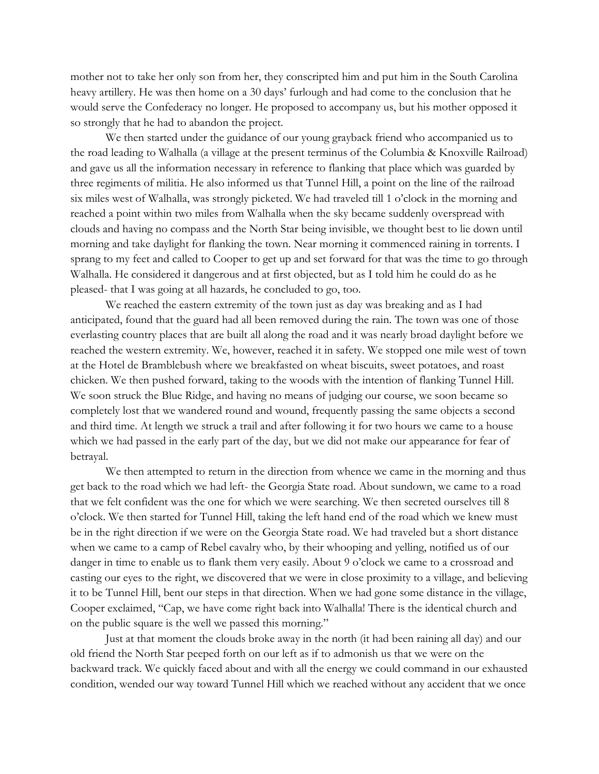mother not to take her only son from her, they conscripted him and put him in the South Carolina heavy artillery. He was then home on a 30 days' furlough and had come to the conclusion that he would serve the Confederacy no longer. He proposed to accompany us, but his mother opposed it so strongly that he had to abandon the project.

We then started under the guidance of our young grayback friend who accompanied us to the road leading to Walhalla (a village at the present terminus of the Columbia & Knoxville Railroad) and gave us all the information necessary in reference to flanking that place which was guarded by three regiments of militia. He also informed us that Tunnel Hill, a point on the line of the railroad six miles west of Walhalla, was strongly picketed. We had traveled till 1 o'clock in the morning and reached a point within two miles from Walhalla when the sky became suddenly overspread with clouds and having no compass and the North Star being invisible, we thought best to lie down until morning and take daylight for flanking the town. Near morning it commenced raining in torrents. I sprang to my feet and called to Cooper to get up and set forward for that was the time to go through Walhalla. He considered it dangerous and at first objected, but as I told him he could do as he pleased- that I was going at all hazards, he concluded to go, too.

We reached the eastern extremity of the town just as day was breaking and as I had anticipated, found that the guard had all been removed during the rain. The town was one of those everlasting country places that are built all along the road and it was nearly broad daylight before we reached the western extremity. We, however, reached it in safety. We stopped one mile west of town at the Hotel de Bramblebush where we breakfasted on wheat biscuits, sweet potatoes, and roast chicken. We then pushed forward, taking to the woods with the intention of flanking Tunnel Hill. We soon struck the Blue Ridge, and having no means of judging our course, we soon became so completely lost that we wandered round and wound, frequently passing the same objects a second and third time. At length we struck a trail and after following it for two hours we came to a house which we had passed in the early part of the day, but we did not make our appearance for fear of betrayal.

We then attempted to return in the direction from whence we came in the morning and thus get back to the road which we had left- the Georgia State road. About sundown, we came to a road that we felt confident was the one for which we were searching. We then secreted ourselves till 8 o'clock. We then started for Tunnel Hill, taking the left hand end of the road which we knew must be in the right direction if we were on the Georgia State road. We had traveled but a short distance when we came to a camp of Rebel cavalry who, by their whooping and yelling, notified us of our danger in time to enable us to flank them very easily. About 9 o'clock we came to a crossroad and casting our eyes to the right, we discovered that we were in close proximity to a village, and believing it to be Tunnel Hill, bent our steps in that direction. When we had gone some distance in the village, Cooper exclaimed, "Cap, we have come right back into Walhalla! There is the identical church and on the public square is the well we passed this morning."

Just at that moment the clouds broke away in the north (it had been raining all day) and our old friend the North Star peeped forth on our left as if to admonish us that we were on the backward track. We quickly faced about and with all the energy we could command in our exhausted condition, wended our way toward Tunnel Hill which we reached without any accident that we once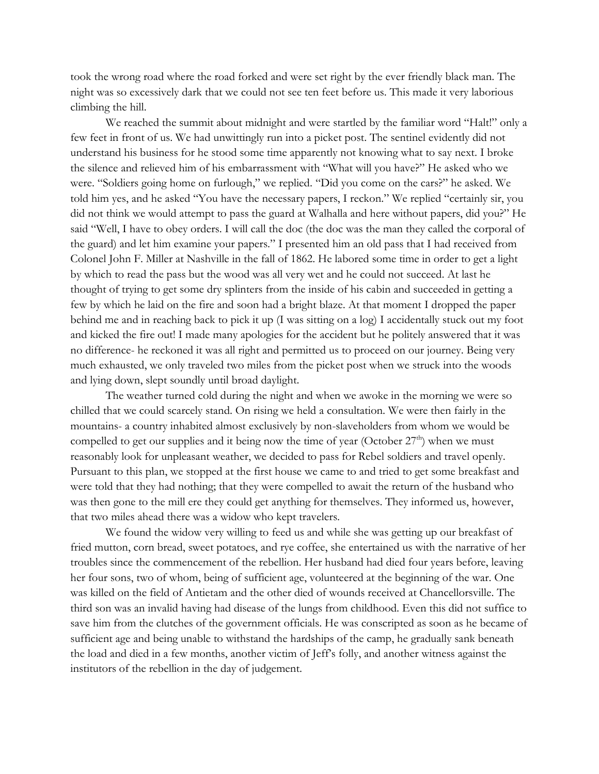took the wrong road where the road forked and were set right by the ever friendly black man. The night was so excessively dark that we could not see ten feet before us. This made it very laborious climbing the hill.

We reached the summit about midnight and were startled by the familiar word "Halt!" only a few feet in front of us. We had unwittingly run into a picket post. The sentinel evidently did not understand his business for he stood some time apparently not knowing what to say next. I broke the silence and relieved him of his embarrassment with "What will you have?" He asked who we were. "Soldiers going home on furlough," we replied. "Did you come on the cars?" he asked. We told him yes, and he asked "You have the necessary papers, I reckon." We replied "certainly sir, you did not think we would attempt to pass the guard at Walhalla and here without papers, did you?" He said "Well, I have to obey orders. I will call the doc (the doc was the man they called the corporal of the guard) and let him examine your papers." I presented him an old pass that I had received from Colonel John F. Miller at Nashville in the fall of 1862. He labored some time in order to get a light by which to read the pass but the wood was all very wet and he could not succeed. At last he thought of trying to get some dry splinters from the inside of his cabin and succeeded in getting a few by which he laid on the fire and soon had a bright blaze. At that moment I dropped the paper behind me and in reaching back to pick it up (I was sitting on a log) I accidentally stuck out my foot and kicked the fire out! I made many apologies for the accident but he politely answered that it was no difference- he reckoned it was all right and permitted us to proceed on our journey. Being very much exhausted, we only traveled two miles from the picket post when we struck into the woods and lying down, slept soundly until broad daylight.

The weather turned cold during the night and when we awoke in the morning we were so chilled that we could scarcely stand. On rising we held a consultation. We were then fairly in the mountains- a country inhabited almost exclusively by non-slaveholders from whom we would be compelled to get our supplies and it being now the time of year (October  $27<sup>th</sup>$ ) when we must reasonably look for unpleasant weather, we decided to pass for Rebel soldiers and travel openly. Pursuant to this plan, we stopped at the first house we came to and tried to get some breakfast and were told that they had nothing; that they were compelled to await the return of the husband who was then gone to the mill ere they could get anything for themselves. They informed us, however, that two miles ahead there was a widow who kept travelers.

We found the widow very willing to feed us and while she was getting up our breakfast of fried mutton, corn bread, sweet potatoes, and rye coffee, she entertained us with the narrative of her troubles since the commencement of the rebellion. Her husband had died four years before, leaving her four sons, two of whom, being of sufficient age, volunteered at the beginning of the war. One was killed on the field of Antietam and the other died of wounds received at Chancellorsville. The third son was an invalid having had disease of the lungs from childhood. Even this did not suffice to save him from the clutches of the government officials. He was conscripted as soon as he became of sufficient age and being unable to withstand the hardships of the camp, he gradually sank beneath the load and died in a few months, another victim of Jeff's folly, and another witness against the institutors of the rebellion in the day of judgement.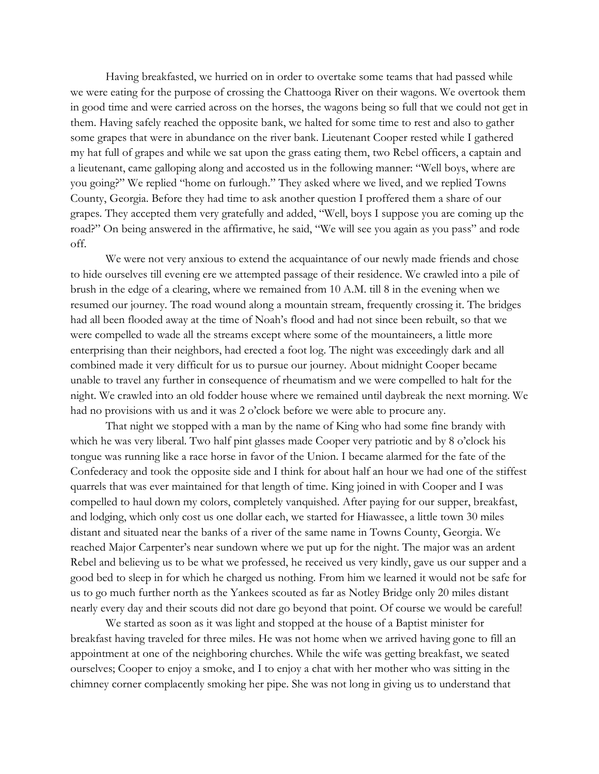Having breakfasted, we hurried on in order to overtake some teams that had passed while we were eating for the purpose of crossing the Chattooga River on their wagons. We overtook them in good time and were carried across on the horses, the wagons being so full that we could not get in them. Having safely reached the opposite bank, we halted for some time to rest and also to gather some grapes that were in abundance on the river bank. Lieutenant Cooper rested while I gathered my hat full of grapes and while we sat upon the grass eating them, two Rebel officers, a captain and a lieutenant, came galloping along and accosted us in the following manner: "Well boys, where are you going?" We replied "home on furlough." They asked where we lived, and we replied Towns County, Georgia. Before they had time to ask another question I proffered them a share of our grapes. They accepted them very gratefully and added, "Well, boys I suppose you are coming up the road?" On being answered in the affirmative, he said, "We will see you again as you pass" and rode off.

We were not very anxious to extend the acquaintance of our newly made friends and chose to hide ourselves till evening ere we attempted passage of their residence. We crawled into a pile of brush in the edge of a clearing, where we remained from 10 A.M. till 8 in the evening when we resumed our journey. The road wound along a mountain stream, frequently crossing it. The bridges had all been flooded away at the time of Noah's flood and had not since been rebuilt, so that we were compelled to wade all the streams except where some of the mountaineers, a little more enterprising than their neighbors, had erected a foot log. The night was exceedingly dark and all combined made it very difficult for us to pursue our journey. About midnight Cooper became unable to travel any further in consequence of rheumatism and we were compelled to halt for the night. We crawled into an old fodder house where we remained until daybreak the next morning. We had no provisions with us and it was 2 o'clock before we were able to procure any.

That night we stopped with a man by the name of King who had some fine brandy with which he was very liberal. Two half pint glasses made Cooper very patriotic and by 8 o'clock his tongue was running like a race horse in favor of the Union. I became alarmed for the fate of the Confederacy and took the opposite side and I think for about half an hour we had one of the stiffest quarrels that was ever maintained for that length of time. King joined in with Cooper and I was compelled to haul down my colors, completely vanquished. After paying for our supper, breakfast, and lodging, which only cost us one dollar each, we started for Hiawassee, a little town 30 miles distant and situated near the banks of a river of the same name in Towns County, Georgia. We reached Major Carpenter's near sundown where we put up for the night. The major was an ardent Rebel and believing us to be what we professed, he received us very kindly, gave us our supper and a good bed to sleep in for which he charged us nothing. From him we learned it would not be safe for us to go much further north as the Yankees scouted as far as Notley Bridge only 20 miles distant nearly every day and their scouts did not dare go beyond that point. Of course we would be careful!

We started as soon as it was light and stopped at the house of a Baptist minister for breakfast having traveled for three miles. He was not home when we arrived having gone to fill an appointment at one of the neighboring churches. While the wife was getting breakfast, we seated ourselves; Cooper to enjoy a smoke, and I to enjoy a chat with her mother who was sitting in the chimney corner complacently smoking her pipe. She was not long in giving us to understand that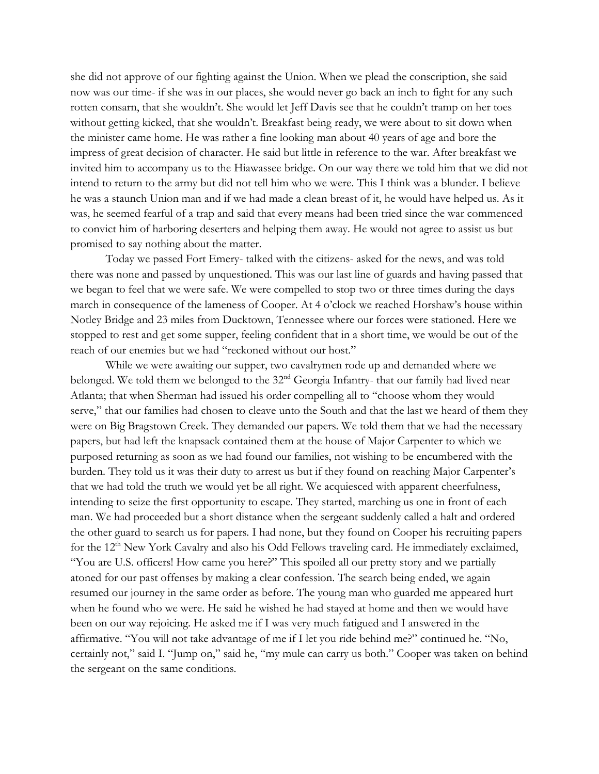she did not approve of our fighting against the Union. When we plead the conscription, she said now was our time- if she was in our places, she would never go back an inch to fight for any such rotten consarn, that she wouldn't. She would let Jeff Davis see that he couldn't tramp on her toes without getting kicked, that she wouldn't. Breakfast being ready, we were about to sit down when the minister came home. He was rather a fine looking man about 40 years of age and bore the impress of great decision of character. He said but little in reference to the war. After breakfast we invited him to accompany us to the Hiawassee bridge. On our way there we told him that we did not intend to return to the army but did not tell him who we were. This I think was a blunder. I believe he was a staunch Union man and if we had made a clean breast of it, he would have helped us. As it was, he seemed fearful of a trap and said that every means had been tried since the war commenced to convict him of harboring deserters and helping them away. He would not agree to assist us but promised to say nothing about the matter.

Today we passed Fort Emery- talked with the citizens- asked for the news, and was told there was none and passed by unquestioned. This was our last line of guards and having passed that we began to feel that we were safe. We were compelled to stop two or three times during the days march in consequence of the lameness of Cooper. At 4 o'clock we reached Horshaw's house within Notley Bridge and 23 miles from Ducktown, Tennessee where our forces were stationed. Here we stopped to rest and get some supper, feeling confident that in a short time, we would be out of the reach of our enemies but we had "reckoned without our host."

While we were awaiting our supper, two cavalrymen rode up and demanded where we belonged. We told them we belonged to the 32<sup>nd</sup> Georgia Infantry- that our family had lived near Atlanta; that when Sherman had issued his order compelling all to "choose whom they would serve," that our families had chosen to cleave unto the South and that the last we heard of them they were on Big Bragstown Creek. They demanded our papers. We told them that we had the necessary papers, but had left the knapsack contained them at the house of Major Carpenter to which we purposed returning as soon as we had found our families, not wishing to be encumbered with the burden. They told us it was their duty to arrest us but if they found on reaching Major Carpenter's that we had told the truth we would yet be all right. We acquiesced with apparent cheerfulness, intending to seize the first opportunity to escape. They started, marching us one in front of each man. We had proceeded but a short distance when the sergeant suddenly called a halt and ordered the other guard to search us for papers. I had none, but they found on Cooper his recruiting papers for the  $12<sup>th</sup>$  New York Cavalry and also his Odd Fellows traveling card. He immediately exclaimed, "You are U.S. officers! How came you here?" This spoiled all our pretty story and we partially atoned for our past offenses by making a clear confession. The search being ended, we again resumed our journey in the same order as before. The young man who guarded me appeared hurt when he found who we were. He said he wished he had stayed at home and then we would have been on our way rejoicing. He asked me if I was very much fatigued and I answered in the affirmative. "You will not take advantage of me if I let you ride behind me?" continued he. "No, certainly not," said I. "Jump on," said he, "my mule can carry us both." Cooper was taken on behind the sergeant on the same conditions.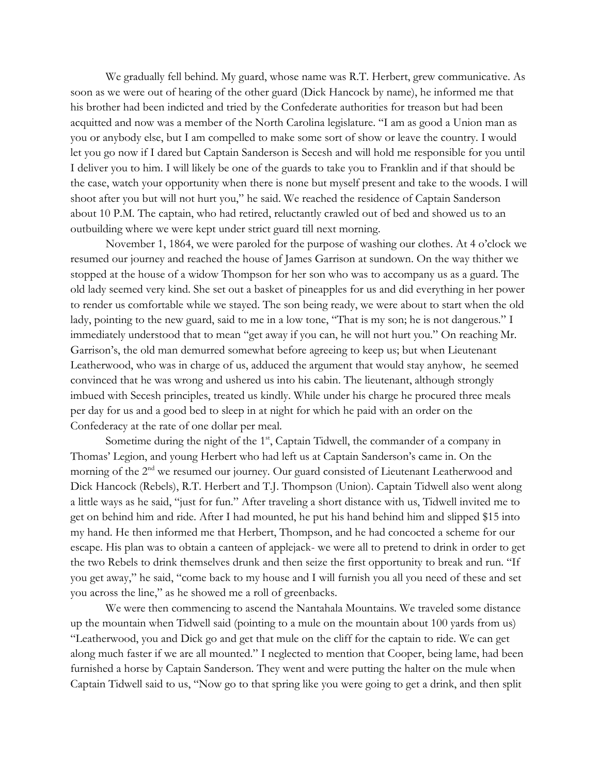We gradually fell behind. My guard, whose name was R.T. Herbert, grew communicative. As soon as we were out of hearing of the other guard (Dick Hancock by name), he informed me that his brother had been indicted and tried by the Confederate authorities for treason but had been acquitted and now was a member of the North Carolina legislature. "I am as good a Union man as you or anybody else, but I am compelled to make some sort of show or leave the country. I would let you go now if I dared but Captain Sanderson is Secesh and will hold me responsible for you until I deliver you to him. I will likely be one of the guards to take you to Franklin and if that should be the case, watch your opportunity when there is none but myself present and take to the woods. I will shoot after you but will not hurt you," he said. We reached the residence of Captain Sanderson about 10 P.M. The captain, who had retired, reluctantly crawled out of bed and showed us to an outbuilding where we were kept under strict guard till next morning.

November 1, 1864, we were paroled for the purpose of washing our clothes. At 4 o'clock we resumed our journey and reached the house of James Garrison at sundown. On the way thither we stopped at the house of a widow Thompson for her son who was to accompany us as a guard. The old lady seemed very kind. She set out a basket of pineapples for us and did everything in her power to render us comfortable while we stayed. The son being ready, we were about to start when the old lady, pointing to the new guard, said to me in a low tone, "That is my son; he is not dangerous." I immediately understood that to mean "get away if you can, he will not hurt you." On reaching Mr. Garrison's, the old man demurred somewhat before agreeing to keep us; but when Lieutenant Leatherwood, who was in charge of us, adduced the argument that would stay anyhow, he seemed convinced that he was wrong and ushered us into his cabin. The lieutenant, although strongly imbued with Secesh principles, treated us kindly. While under his charge he procured three meals per day for us and a good bed to sleep in at night for which he paid with an order on the Confederacy at the rate of one dollar per meal.

Sometime during the night of the 1<sup>st</sup>, Captain Tidwell, the commander of a company in Thomas' Legion, and young Herbert who had left us at Captain Sanderson's came in. On the morning of the 2<sup>nd</sup> we resumed our journey. Our guard consisted of Lieutenant Leatherwood and Dick Hancock (Rebels), R.T. Herbert and T.J. Thompson (Union). Captain Tidwell also went along a little ways as he said, "just for fun." After traveling a short distance with us, Tidwell invited me to get on behind him and ride. After I had mounted, he put his hand behind him and slipped \$15 into my hand. He then informed me that Herbert, Thompson, and he had concocted a scheme for our escape. His plan was to obtain a canteen of applejack- we were all to pretend to drink in order to get the two Rebels to drink themselves drunk and then seize the first opportunity to break and run. "If you get away," he said, "come back to my house and I will furnish you all you need of these and set you across the line," as he showed me a roll of greenbacks.

We were then commencing to ascend the Nantahala Mountains. We traveled some distance up the mountain when Tidwell said (pointing to a mule on the mountain about 100 yards from us) "Leatherwood, you and Dick go and get that mule on the cliff for the captain to ride. We can get along much faster if we are all mounted." I neglected to mention that Cooper, being lame, had been furnished a horse by Captain Sanderson. They went and were putting the halter on the mule when Captain Tidwell said to us, "Now go to that spring like you were going to get a drink, and then split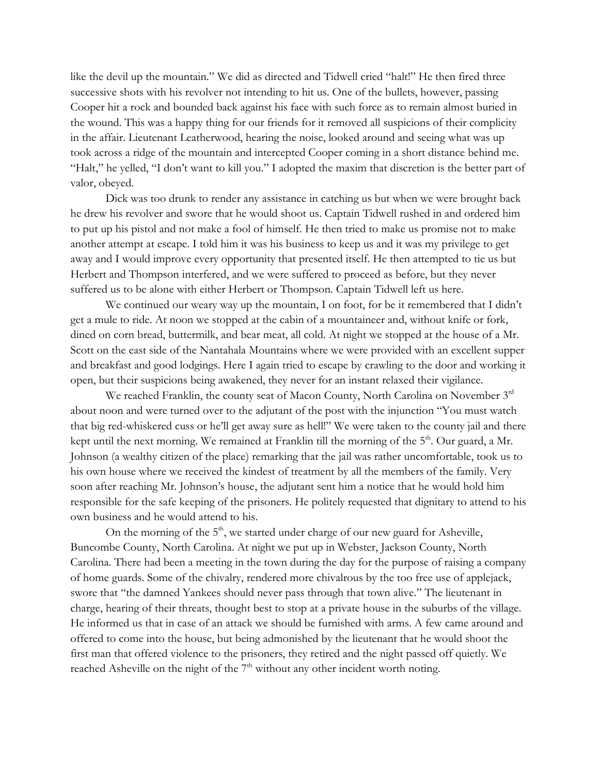like the devil up the mountain." We did as directed and Tidwell cried "halt!" He then fired three successive shots with his revolver not intending to hit us. One of the bullets, however, passing Cooper hit a rock and bounded back against his face with such force as to remain almost buried in the wound. This was a happy thing for our friends for it removed all suspicions of their complicity in the affair. Lieutenant Leatherwood, hearing the noise, looked around and seeing what was up took across a ridge of the mountain and intercepted Cooper coming in a short distance behind me. "Halt," he yelled, "I don't want to kill you." I adopted the maxim that discretion is the better part of valor, obeyed.

Dick was too drunk to render any assistance in catching us but when we were brought back he drew his revolver and swore that he would shoot us. Captain Tidwell rushed in and ordered him to put up his pistol and not make a fool of himself. He then tried to make us promise not to make another attempt at escape. I told him it was his business to keep us and it was my privilege to get away and I would improve every opportunity that presented itself. He then attempted to tie us but Herbert and Thompson interfered, and we were suffered to proceed as before, but they never suffered us to be alone with either Herbert or Thompson. Captain Tidwell left us here.

We continued our weary way up the mountain, I on foot, for be it remembered that I didn't get a mule to ride. At noon we stopped at the cabin of a mountaineer and, without knife or fork, dined on corn bread, buttermilk, and bear meat, all cold. At night we stopped at the house of a Mr. Scott on the east side of the Nantahala Mountains where we were provided with an excellent supper and breakfast and good lodgings. Here I again tried to escape by crawling to the door and working it open, but their suspicions being awakened, they never for an instant relaxed their vigilance.

We reached Franklin, the county seat of Macon County, North Carolina on November 3<sup>rd</sup> about noon and were turned over to the adjutant of the post with the injunction "You must watch that big red-whiskered cuss or he'll get away sure as hell!" We were taken to the county jail and there kept until the next morning. We remained at Franklin till the morning of the 5<sup>th</sup>. Our guard, a Mr. Johnson (a wealthy citizen of the place) remarking that the jail was rather uncomfortable, took us to his own house where we received the kindest of treatment by all the members of the family. Very soon after reaching Mr. Johnson's house, the adjutant sent him a notice that he would hold him responsible for the safe keeping of the prisoners. He politely requested that dignitary to attend to his own business and he would attend to his.

On the morning of the  $5<sup>th</sup>$ , we started under charge of our new guard for Asheville, Buncombe County, North Carolina. At night we put up in Webster, Jackson County, North Carolina. There had been a meeting in the town during the day for the purpose of raising a company of home guards. Some of the chivalry, rendered more chivalrous by the too free use of applejack, swore that "the damned Yankees should never pass through that town alive." The lieutenant in charge, hearing of their threats, thought best to stop at a private house in the suburbs of the village. He informed us that in case of an attack we should be furnished with arms. A few came around and offered to come into the house, but being admonished by the lieutenant that he would shoot the first man that offered violence to the prisoners, they retired and the night passed off quietly. We reached Asheville on the night of the  $7<sup>th</sup>$  without any other incident worth noting.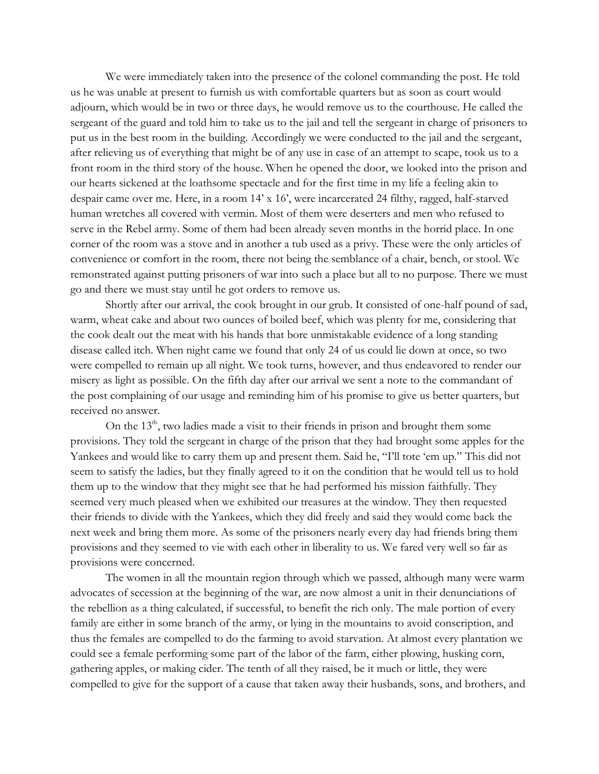We were immediately taken into the presence of the colonel commanding the post. He told us he was unable at present to furnish us with comfortable quarters but as soon as court would adjourn, which would be in two or three days, he would remove us to the courthouse. He called the sergeant of the guard and told him to take us to the jail and tell the sergeant in charge of prisoners to put us in the best room in the building. Accordingly we were conducted to the jail and the sergeant, after relieving us of everything that might be of any use in case of an attempt to scape, took us to a front room in the third story of the house. When he opened the door, we looked into the prison and our hearts sickened at the loathsome spectacle and for the first time in my life a feeling akin to despair came over me. Here, in a room 14' x 16', were incarcerated 24 filthy, ragged, half-starved human wretches all covered with vermin. Most of them were deserters and men who refused to serve in the Rebel army. Some of them had been already seven months in the horrid place. In one corner of the room was a stove and in another a tub used as a privy. These were the only articles of convenience or comfort in the room, there not being the semblance of a chair, bench, or stool. We remonstrated against putting prisoners of war into such a place but all to no purpose. There we must go and there we must stay until he got orders to remove us.

Shortly after our arrival, the cook brought in our grub. It consisted of one-half pound of sad, warm, wheat cake and about two ounces of boiled beef, which was plenty for me, considering that the cook dealt out the meat with his hands that bore unmistakable evidence of a long standing disease called itch. When night came we found that only 24 of us could lie down at once, so two were compelled to remain up all night. We took turns, however, and thus endeavored to render our misery as light as possible. On the fifth day after our arrival we sent a note to the commandant of the post complaining of our usage and reminding him of his promise to give us better quarters, but received no answer.

On the  $13<sup>th</sup>$ , two ladies made a visit to their friends in prison and brought them some provisions. They told the sergeant in charge of the prison that they had brought some apples for the Yankees and would like to carry them up and present them. Said he, "I'll tote 'em up." This did not seem to satisfy the ladies, but they finally agreed to it on the condition that he would tell us to hold them up to the window that they might see that he had performed his mission faithfully. They seemed very much pleased when we exhibited our treasures at the window. They then requested their friends to divide with the Yankees, which they did freely and said they would come back the next week and bring them more. As some of the prisoners nearly every day had friends bring them provisions and they seemed to vie with each other in liberality to us. We fared very well so far as provisions were concerned.

The women in all the mountain region through which we passed, although many were warm advocates of secession at the beginning of the war, are now almost a unit in their denunciations of the rebellion as a thing calculated, if successful, to benefit the rich only. The male portion of every family are either in some branch of the army, or lying in the mountains to avoid conscription, and thus the females are compelled to do the farming to avoid starvation. At almost every plantation we could see a female performing some part of the labor of the farm, either plowing, husking corn, gathering apples, or making cider. The tenth of all they raised, be it much or little, they were compelled to give for the support of a cause that taken away their husbands, sons, and brothers, and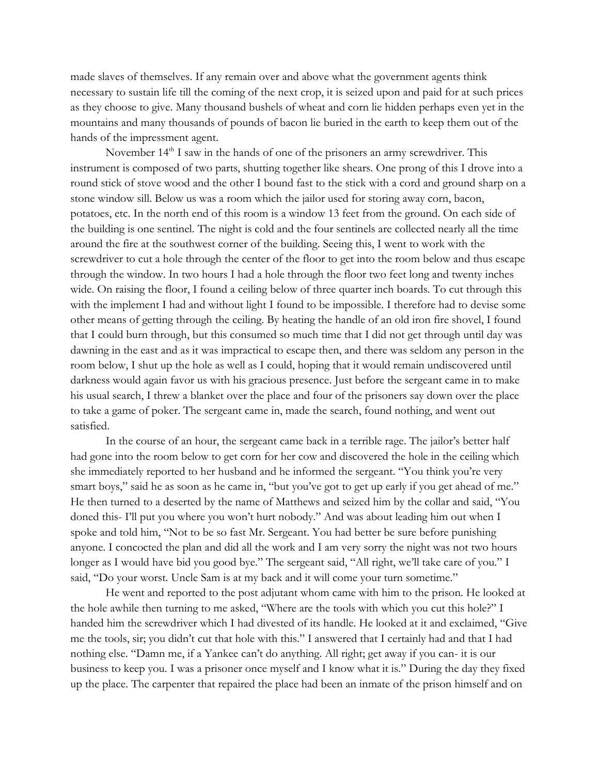made slaves of themselves. If any remain over and above what the government agents think necessary to sustain life till the coming of the next crop, it is seized upon and paid for at such prices as they choose to give. Many thousand bushels of wheat and corn lie hidden perhaps even yet in the mountains and many thousands of pounds of bacon lie buried in the earth to keep them out of the hands of the impressment agent.

November  $14<sup>th</sup>$  I saw in the hands of one of the prisoners an army screwdriver. This instrument is composed of two parts, shutting together like shears. One prong of this I drove into a round stick of stove wood and the other I bound fast to the stick with a cord and ground sharp on a stone window sill. Below us was a room which the jailor used for storing away corn, bacon, potatoes, etc. In the north end of this room is a window 13 feet from the ground. On each side of the building is one sentinel. The night is cold and the four sentinels are collected nearly all the time around the fire at the southwest corner of the building. Seeing this, I went to work with the screwdriver to cut a hole through the center of the floor to get into the room below and thus escape through the window. In two hours I had a hole through the floor two feet long and twenty inches wide. On raising the floor, I found a ceiling below of three quarter inch boards. To cut through this with the implement I had and without light I found to be impossible. I therefore had to devise some other means of getting through the ceiling. By heating the handle of an old iron fire shovel, I found that I could burn through, but this consumed so much time that I did not get through until day was dawning in the east and as it was impractical to escape then, and there was seldom any person in the room below, I shut up the hole as well as I could, hoping that it would remain undiscovered until darkness would again favor us with his gracious presence. Just before the sergeant came in to make his usual search, I threw a blanket over the place and four of the prisoners say down over the place to take a game of poker. The sergeant came in, made the search, found nothing, and went out satisfied.

In the course of an hour, the sergeant came back in a terrible rage. The jailor's better half had gone into the room below to get corn for her cow and discovered the hole in the ceiling which she immediately reported to her husband and he informed the sergeant. "You think you're very smart boys," said he as soon as he came in, "but you've got to get up early if you get ahead of me." He then turned to a deserted by the name of Matthews and seized him by the collar and said, "You doned this- I'll put you where you won't hurt nobody." And was about leading him out when I spoke and told him, "Not to be so fast Mr. Sergeant. You had better be sure before punishing anyone. I concocted the plan and did all the work and I am very sorry the night was not two hours longer as I would have bid you good bye." The sergeant said, "All right, we'll take care of you." I said, "Do your worst. Uncle Sam is at my back and it will come your turn sometime."

He went and reported to the post adjutant whom came with him to the prison. He looked at the hole awhile then turning to me asked, "Where are the tools with which you cut this hole?" I handed him the screwdriver which I had divested of its handle. He looked at it and exclaimed, "Give me the tools, sir; you didn't cut that hole with this." I answered that I certainly had and that I had nothing else. "Damn me, if a Yankee can't do anything. All right; get away if you can- it is our business to keep you. I was a prisoner once myself and I know what it is." During the day they fixed up the place. The carpenter that repaired the place had been an inmate of the prison himself and on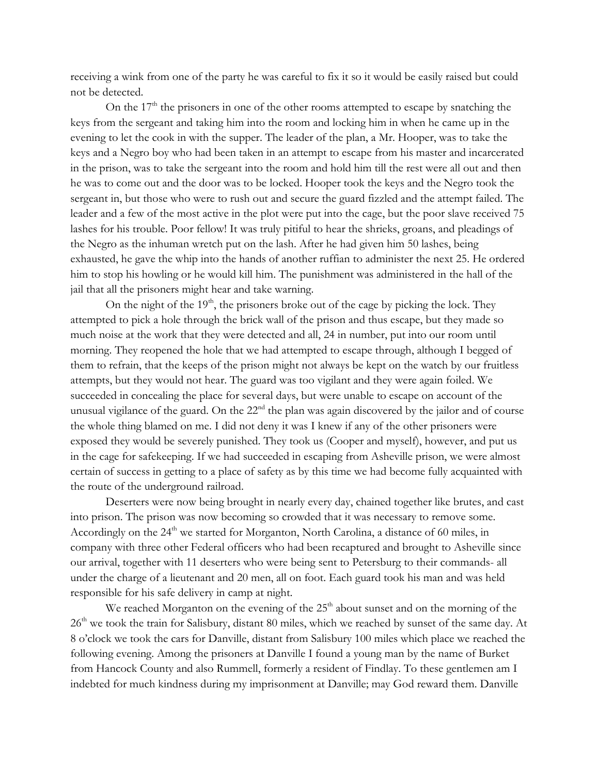receiving a wink from one of the party he was careful to fix it so it would be easily raised but could not be detected.

On the  $17<sup>th</sup>$  the prisoners in one of the other rooms attempted to escape by snatching the keys from the sergeant and taking him into the room and locking him in when he came up in the evening to let the cook in with the supper. The leader of the plan, a Mr. Hooper, was to take the keys and a Negro boy who had been taken in an attempt to escape from his master and incarcerated in the prison, was to take the sergeant into the room and hold him till the rest were all out and then he was to come out and the door was to be locked. Hooper took the keys and the Negro took the sergeant in, but those who were to rush out and secure the guard fizzled and the attempt failed. The leader and a few of the most active in the plot were put into the cage, but the poor slave received 75 lashes for his trouble. Poor fellow! It was truly pitiful to hear the shrieks, groans, and pleadings of the Negro as the inhuman wretch put on the lash. After he had given him 50 lashes, being exhausted, he gave the whip into the hands of another ruffian to administer the next 25. He ordered him to stop his howling or he would kill him. The punishment was administered in the hall of the jail that all the prisoners might hear and take warning.

On the night of the  $19<sup>th</sup>$ , the prisoners broke out of the cage by picking the lock. They attempted to pick a hole through the brick wall of the prison and thus escape, but they made so much noise at the work that they were detected and all, 24 in number, put into our room until morning. They reopened the hole that we had attempted to escape through, although I begged of them to refrain, that the keeps of the prison might not always be kept on the watch by our fruitless attempts, but they would not hear. The guard was too vigilant and they were again foiled. We succeeded in concealing the place for several days, but were unable to escape on account of the unusual vigilance of the guard. On the 22<sup>nd</sup> the plan was again discovered by the jailor and of course the whole thing blamed on me. I did not deny it was I knew if any of the other prisoners were exposed they would be severely punished. They took us (Cooper and myself), however, and put us in the cage for safekeeping. If we had succeeded in escaping from Asheville prison, we were almost certain of success in getting to a place of safety as by this time we had become fully acquainted with the route of the underground railroad.

Deserters were now being brought in nearly every day, chained together like brutes, and cast into prison. The prison was now becoming so crowded that it was necessary to remove some. Accordingly on the  $24<sup>th</sup>$  we started for Morganton, North Carolina, a distance of 60 miles, in company with three other Federal officers who had been recaptured and brought to Asheville since our arrival, together with 11 deserters who were being sent to Petersburg to their commands- all under the charge of a lieutenant and 20 men, all on foot. Each guard took his man and was held responsible for his safe delivery in camp at night.

We reached Morganton on the evening of the  $25<sup>th</sup>$  about sunset and on the morning of the  $26<sup>th</sup>$  we took the train for Salisbury, distant 80 miles, which we reached by sunset of the same day. At 8 o'clock we took the cars for Danville, distant from Salisbury 100 miles which place we reached the following evening. Among the prisoners at Danville I found a young man by the name of Burket from Hancock County and also Rummell, formerly a resident of Findlay. To these gentlemen am I indebted for much kindness during my imprisonment at Danville; may God reward them. Danville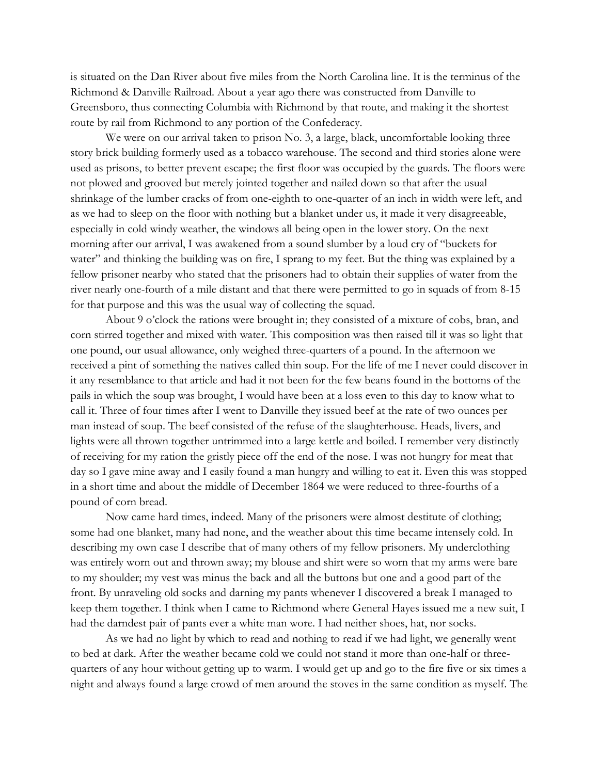is situated on the Dan River about five miles from the North Carolina line. It is the terminus of the Richmond & Danville Railroad. About a year ago there was constructed from Danville to Greensboro, thus connecting Columbia with Richmond by that route, and making it the shortest route by rail from Richmond to any portion of the Confederacy.

We were on our arrival taken to prison No. 3, a large, black, uncomfortable looking three story brick building formerly used as a tobacco warehouse. The second and third stories alone were used as prisons, to better prevent escape; the first floor was occupied by the guards. The floors were not plowed and grooved but merely jointed together and nailed down so that after the usual shrinkage of the lumber cracks of from one-eighth to one-quarter of an inch in width were left, and as we had to sleep on the floor with nothing but a blanket under us, it made it very disagreeable, especially in cold windy weather, the windows all being open in the lower story. On the next morning after our arrival, I was awakened from a sound slumber by a loud cry of "buckets for water" and thinking the building was on fire, I sprang to my feet. But the thing was explained by a fellow prisoner nearby who stated that the prisoners had to obtain their supplies of water from the river nearly one-fourth of a mile distant and that there were permitted to go in squads of from 8-15 for that purpose and this was the usual way of collecting the squad.

About 9 o'clock the rations were brought in; they consisted of a mixture of cobs, bran, and corn stirred together and mixed with water. This composition was then raised till it was so light that one pound, our usual allowance, only weighed three-quarters of a pound. In the afternoon we received a pint of something the natives called thin soup. For the life of me I never could discover in it any resemblance to that article and had it not been for the few beans found in the bottoms of the pails in which the soup was brought, I would have been at a loss even to this day to know what to call it. Three of four times after I went to Danville they issued beef at the rate of two ounces per man instead of soup. The beef consisted of the refuse of the slaughterhouse. Heads, livers, and lights were all thrown together untrimmed into a large kettle and boiled. I remember very distinctly of receiving for my ration the gristly piece off the end of the nose. I was not hungry for meat that day so I gave mine away and I easily found a man hungry and willing to eat it. Even this was stopped in a short time and about the middle of December 1864 we were reduced to three-fourths of a pound of corn bread.

Now came hard times, indeed. Many of the prisoners were almost destitute of clothing; some had one blanket, many had none, and the weather about this time became intensely cold. In describing my own case I describe that of many others of my fellow prisoners. My underclothing was entirely worn out and thrown away; my blouse and shirt were so worn that my arms were bare to my shoulder; my vest was minus the back and all the buttons but one and a good part of the front. By unraveling old socks and darning my pants whenever I discovered a break I managed to keep them together. I think when I came to Richmond where General Hayes issued me a new suit, I had the darndest pair of pants ever a white man wore. I had neither shoes, hat, nor socks.

As we had no light by which to read and nothing to read if we had light, we generally went to bed at dark. After the weather became cold we could not stand it more than one-half or threequarters of any hour without getting up to warm. I would get up and go to the fire five or six times a night and always found a large crowd of men around the stoves in the same condition as myself. The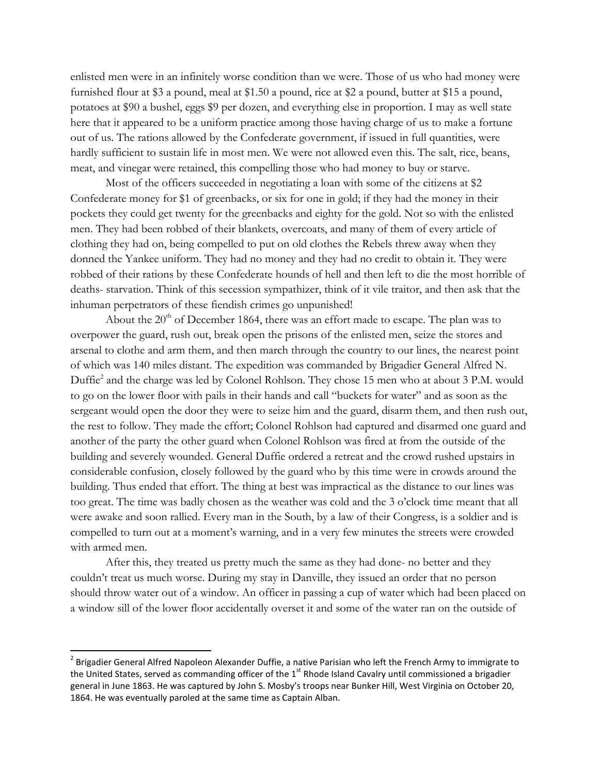enlisted men were in an infinitely worse condition than we were. Those of us who had money were furnished flour at \$3 a pound, meal at \$1.50 a pound, rice at \$2 a pound, butter at \$15 a pound, potatoes at \$90 a bushel, eggs \$9 per dozen, and everything else in proportion. I may as well state here that it appeared to be a uniform practice among those having charge of us to make a fortune out of us. The rations allowed by the Confederate government, if issued in full quantities, were hardly sufficient to sustain life in most men. We were not allowed even this. The salt, rice, beans, meat, and vinegar were retained, this compelling those who had money to buy or starve.

Most of the officers succeeded in negotiating a loan with some of the citizens at \$2 Confederate money for \$1 of greenbacks, or six for one in gold; if they had the money in their pockets they could get twenty for the greenbacks and eighty for the gold. Not so with the enlisted men. They had been robbed of their blankets, overcoats, and many of them of every article of clothing they had on, being compelled to put on old clothes the Rebels threw away when they donned the Yankee uniform. They had no money and they had no credit to obtain it. They were robbed of their rations by these Confederate hounds of hell and then left to die the most horrible of deaths- starvation. Think of this secession sympathizer, think of it vile traitor, and then ask that the inhuman perpetrators of these fiendish crimes go unpunished!

About the  $20<sup>th</sup>$  of December 1864, there was an effort made to escape. The plan was to overpower the guard, rush out, break open the prisons of the enlisted men, seize the stores and arsenal to clothe and arm them, and then march through the country to our lines, the nearest point of which was 140 miles distant. The expedition was commanded by Brigadier General Alfred N. Duffie<sup>2</sup> and the charge was led by Colonel Rohlson. They chose 15 men who at about 3 P.M. would to go on the lower floor with pails in their hands and call "buckets for water" and as soon as the sergeant would open the door they were to seize him and the guard, disarm them, and then rush out, the rest to follow. They made the effort; Colonel Rohlson had captured and disarmed one guard and another of the party the other guard when Colonel Rohlson was fired at from the outside of the building and severely wounded. General Duffie ordered a retreat and the crowd rushed upstairs in considerable confusion, closely followed by the guard who by this time were in crowds around the building. Thus ended that effort. The thing at best was impractical as the distance to our lines was too great. The time was badly chosen as the weather was cold and the 3 o'clock time meant that all were awake and soon rallied. Every man in the South, by a law of their Congress, is a soldier and is compelled to turn out at a moment's warning, and in a very few minutes the streets were crowded with armed men.

After this, they treated us pretty much the same as they had done- no better and they couldn't treat us much worse. During my stay in Danville, they issued an order that no person should throw water out of a window. An officer in passing a cup of water which had been placed on a window sill of the lower floor accidentally overset it and some of the water ran on the outside of

 $\overline{a}$ 

<sup>&</sup>lt;sup>2</sup> Brigadier General Alfred Napoleon Alexander Duffie, a native Parisian who left the French Army to immigrate to the United States, served as commanding officer of the  $1<sup>st</sup>$  Rhode Island Cavalry until commissioned a brigadier general in June 1863. He was captured by John S. Mosby's troops near Bunker Hill, West Virginia on October 20, 1864. He was eventually paroled at the same time as Captain Alban.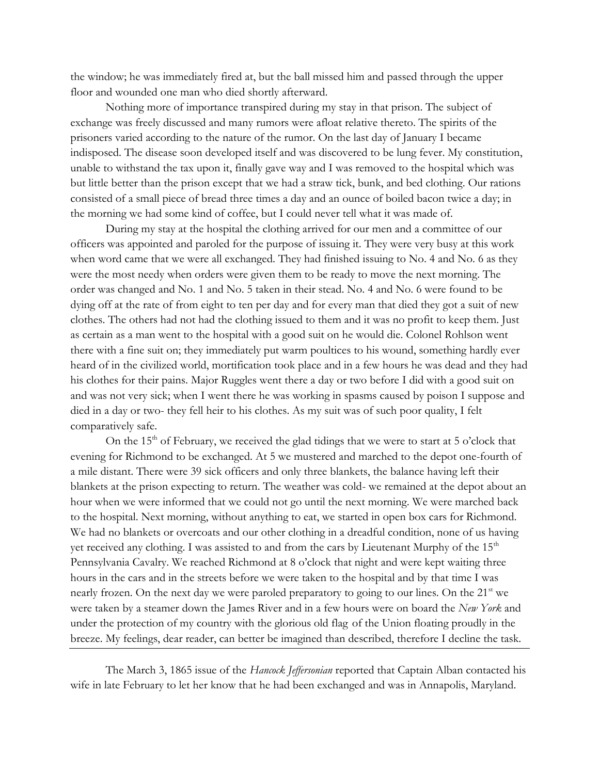the window; he was immediately fired at, but the ball missed him and passed through the upper floor and wounded one man who died shortly afterward.

Nothing more of importance transpired during my stay in that prison. The subject of exchange was freely discussed and many rumors were afloat relative thereto. The spirits of the prisoners varied according to the nature of the rumor. On the last day of January I became indisposed. The disease soon developed itself and was discovered to be lung fever. My constitution, unable to withstand the tax upon it, finally gave way and I was removed to the hospital which was but little better than the prison except that we had a straw tick, bunk, and bed clothing. Our rations consisted of a small piece of bread three times a day and an ounce of boiled bacon twice a day; in the morning we had some kind of coffee, but I could never tell what it was made of.

During my stay at the hospital the clothing arrived for our men and a committee of our officers was appointed and paroled for the purpose of issuing it. They were very busy at this work when word came that we were all exchanged. They had finished issuing to No. 4 and No. 6 as they were the most needy when orders were given them to be ready to move the next morning. The order was changed and No. 1 and No. 5 taken in their stead. No. 4 and No. 6 were found to be dying off at the rate of from eight to ten per day and for every man that died they got a suit of new clothes. The others had not had the clothing issued to them and it was no profit to keep them. Just as certain as a man went to the hospital with a good suit on he would die. Colonel Rohlson went there with a fine suit on; they immediately put warm poultices to his wound, something hardly ever heard of in the civilized world, mortification took place and in a few hours he was dead and they had his clothes for their pains. Major Ruggles went there a day or two before I did with a good suit on and was not very sick; when I went there he was working in spasms caused by poison I suppose and died in a day or two- they fell heir to his clothes. As my suit was of such poor quality, I felt comparatively safe.

On the  $15<sup>th</sup>$  of February, we received the glad tidings that we were to start at 5 o'clock that evening for Richmond to be exchanged. At 5 we mustered and marched to the depot one-fourth of a mile distant. There were 39 sick officers and only three blankets, the balance having left their blankets at the prison expecting to return. The weather was cold- we remained at the depot about an hour when we were informed that we could not go until the next morning. We were marched back to the hospital. Next morning, without anything to eat, we started in open box cars for Richmond. We had no blankets or overcoats and our other clothing in a dreadful condition, none of us having yet received any clothing. I was assisted to and from the cars by Lieutenant Murphy of the  $15<sup>th</sup>$ Pennsylvania Cavalry. We reached Richmond at 8 o'clock that night and were kept waiting three hours in the cars and in the streets before we were taken to the hospital and by that time I was nearly frozen. On the next day we were paroled preparatory to going to our lines. On the  $21<sup>st</sup>$  we were taken by a steamer down the James River and in a few hours were on board the *New York* and under the protection of my country with the glorious old flag of the Union floating proudly in the breeze. My feelings, dear reader, can better be imagined than described, therefore I decline the task.

The March 3, 1865 issue of the *Hancock Jeffersonian* reported that Captain Alban contacted his wife in late February to let her know that he had been exchanged and was in Annapolis, Maryland.